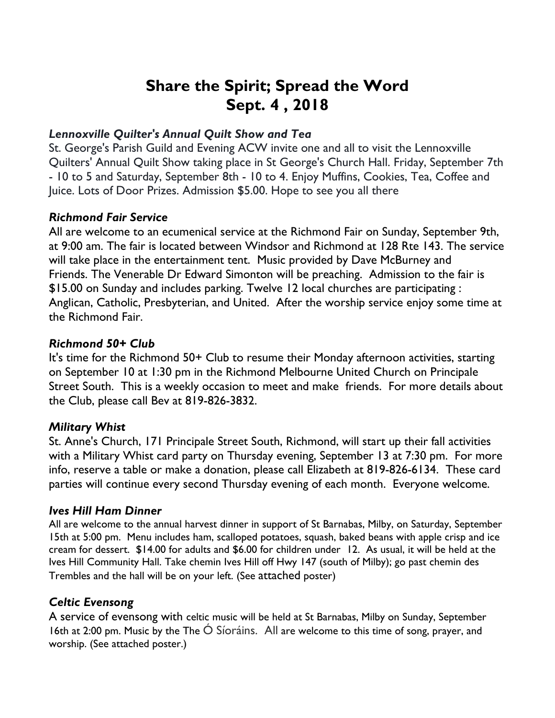# **Share the Spirit; Spread the Word Sept. 4 , 2018**

## *Lennoxville Quilter's Annual Quilt Show and Tea*

St. George's Parish Guild and Evening ACW invite one and all to visit the Lennoxville Quilters' Annual Quilt Show taking place in St George's Church Hall. Friday, September 7th - 10 to 5 and Saturday, September 8th - 10 to 4. Enjoy Muffins, Cookies, Tea, Coffee and Juice. Lots of Door Prizes. Admission \$5.00. Hope to see you all there

## *Richmond Fair Service*

All are welcome to an ecumenical service at the Richmond Fair on Sunday, September 9th, at 9:00 am. The fair is located between Windsor and Richmond at 128 Rte 143. The service will take place in the entertainment tent. Music provided by Dave McBurney and Friends. The Venerable Dr Edward Simonton will be preaching. Admission to the fair is \$15.00 on Sunday and includes parking. Twelve 12 local churches are participating : Anglican, Catholic, Presbyterian, and United. After the worship service enjoy some time at the Richmond Fair.

# *Richmond 50+ Club*

It's time for the Richmond 50+ Club to resume their Monday afternoon activities, starting on September 10 at 1:30 pm in the Richmond Melbourne United Church on Principale Street South. This is a weekly occasion to meet and make friends. For more details about the Club, please call Bev at 819-826-3832.

# *Military Whist*

St. Anne's Church, 171 Principale Street South, Richmond, will start up their fall activities with a Military Whist card party on Thursday evening, September 13 at 7:30 pm. For more info, reserve a table or make a donation, please call Elizabeth at 819-826-6134. These card parties will continue every second Thursday evening of each month. Everyone welcome.

#### *Ives Hill Ham Dinner*

All are welcome to the annual harvest dinner in support of St Barnabas, Milby, on Saturday, September 15th at 5:00 pm. Menu includes ham, scalloped potatoes, squash, baked beans with apple crisp and ice cream for dessert. \$14.00 for adults and \$6.00 for children under 12. As usual, it will be held at the Ives Hill Community Hall. Take chemin Ives Hill off Hwy 147 (south of Milby); go past chemin des Trembles and the hall will be on your left. (See attached poster)

# *Celtic Evensong*

A service of evensong with celtic music will be held at St Barnabas, Milby on Sunday, September 16th at 2:00 pm. Music by the The Ó Síoráins. All are welcome to this time of song, prayer, and worship. (See attached poster.)